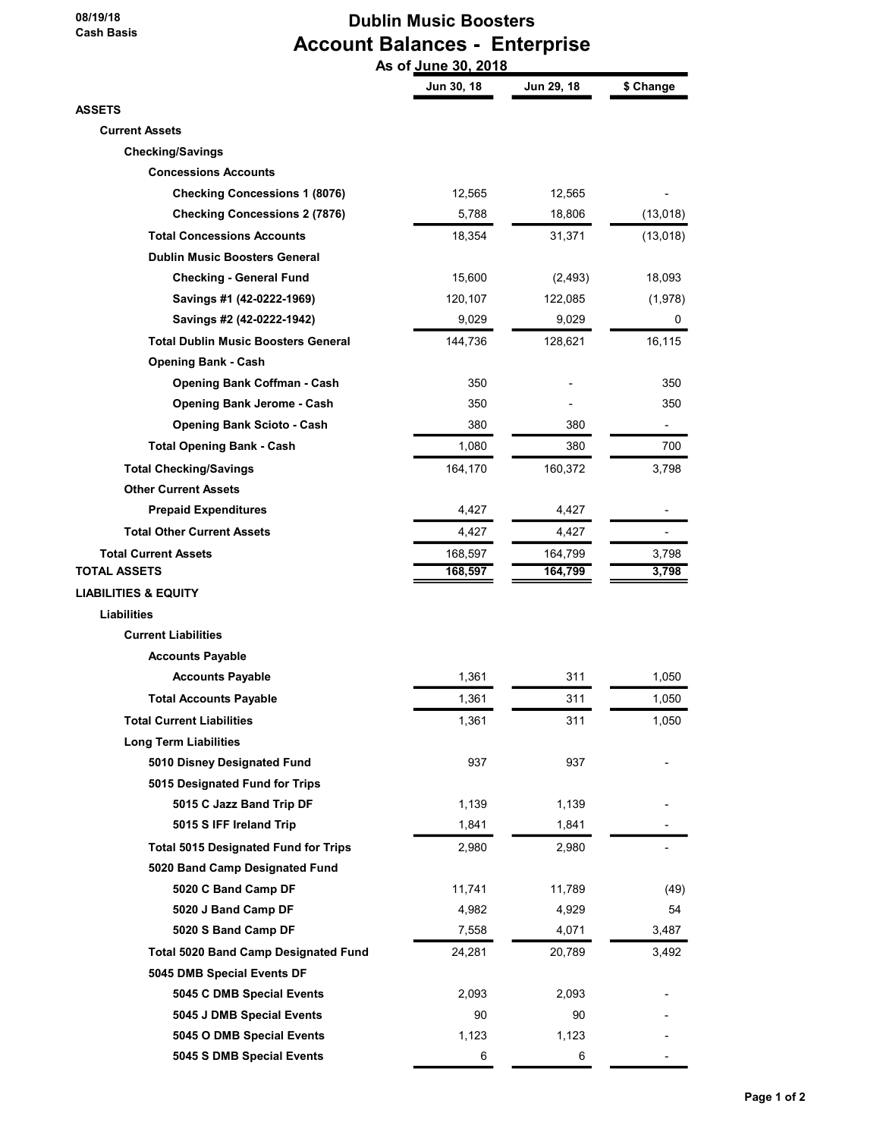08/19/18 Cash Basis

# Dublin Music Boosters Account Balances - Enterprise As of June 30, 2018

|                                             | AS VI<br><u>Julie 30, 2010</u> |            |                          |
|---------------------------------------------|--------------------------------|------------|--------------------------|
|                                             | Jun 30, 18                     | Jun 29, 18 | \$ Change                |
| <b>ASSETS</b>                               |                                |            |                          |
| <b>Current Assets</b>                       |                                |            |                          |
| <b>Checking/Savings</b>                     |                                |            |                          |
| <b>Concessions Accounts</b>                 |                                |            |                          |
| <b>Checking Concessions 1 (8076)</b>        | 12,565                         | 12,565     |                          |
| <b>Checking Concessions 2 (7876)</b>        | 5,788                          | 18,806     | (13,018)                 |
| <b>Total Concessions Accounts</b>           | 18,354                         | 31,371     | (13,018)                 |
| <b>Dublin Music Boosters General</b>        |                                |            |                          |
| <b>Checking - General Fund</b>              | 15,600                         | (2, 493)   | 18,093                   |
| Savings #1 (42-0222-1969)                   | 120,107                        | 122,085    | (1,978)                  |
| Savings #2 (42-0222-1942)                   | 9,029                          | 9,029      | 0                        |
| <b>Total Dublin Music Boosters General</b>  | 144,736                        | 128,621    | 16,115                   |
| <b>Opening Bank - Cash</b>                  |                                |            |                          |
| <b>Opening Bank Coffman - Cash</b>          | 350                            |            | 350                      |
| <b>Opening Bank Jerome - Cash</b>           | 350                            |            | 350                      |
| <b>Opening Bank Scioto - Cash</b>           | 380                            | 380        | $\overline{\phantom{0}}$ |
| <b>Total Opening Bank - Cash</b>            | 1,080                          | 380        | 700                      |
| <b>Total Checking/Savings</b>               | 164,170                        | 160,372    | 3,798                    |
| <b>Other Current Assets</b>                 |                                |            |                          |
| <b>Prepaid Expenditures</b>                 | 4,427                          | 4,427      |                          |
| <b>Total Other Current Assets</b>           | 4,427                          | 4,427      |                          |
| <b>Total Current Assets</b>                 | 168,597                        | 164,799    | 3,798                    |
| TOTAL ASSETS                                | 168,597                        | 164,799    | 3,798                    |
| <b>LIABILITIES &amp; EQUITY</b>             |                                |            |                          |
| Liabilities                                 |                                |            |                          |
| <b>Current Liabilities</b>                  |                                |            |                          |
| <b>Accounts Payable</b>                     |                                |            |                          |
| <b>Accounts Payable</b>                     | 1,361                          | 311        | 1,050                    |
| <b>Total Accounts Payable</b>               | 1,361                          | 311        | 1,050                    |
| <b>Total Current Liabilities</b>            | 1,361                          | 311        | 1,050                    |
| <b>Long Term Liabilities</b>                |                                |            |                          |
| 5010 Disney Designated Fund                 | 937                            | 937        |                          |
| 5015 Designated Fund for Trips              |                                |            |                          |
| 5015 C Jazz Band Trip DF                    | 1,139                          | 1,139      |                          |
| 5015 S IFF Ireland Trip                     | 1,841                          | 1,841      |                          |
| <b>Total 5015 Designated Fund for Trips</b> | 2,980                          | 2,980      |                          |
| 5020 Band Camp Designated Fund              |                                |            |                          |
| 5020 C Band Camp DF                         | 11,741                         | 11,789     | (49)                     |
| 5020 J Band Camp DF                         | 4,982                          | 4,929      | 54                       |
| 5020 S Band Camp DF                         | 7,558                          | 4,071      | 3,487                    |
| <b>Total 5020 Band Camp Designated Fund</b> | 24,281                         | 20,789     | 3,492                    |
| 5045 DMB Special Events DF                  |                                |            |                          |
| 5045 C DMB Special Events                   | 2,093                          | 2,093      |                          |
| 5045 J DMB Special Events                   | 90                             | 90         |                          |
| 5045 O DMB Special Events                   | 1,123                          | 1,123      |                          |
| 5045 S DMB Special Events                   | 6                              | 6          |                          |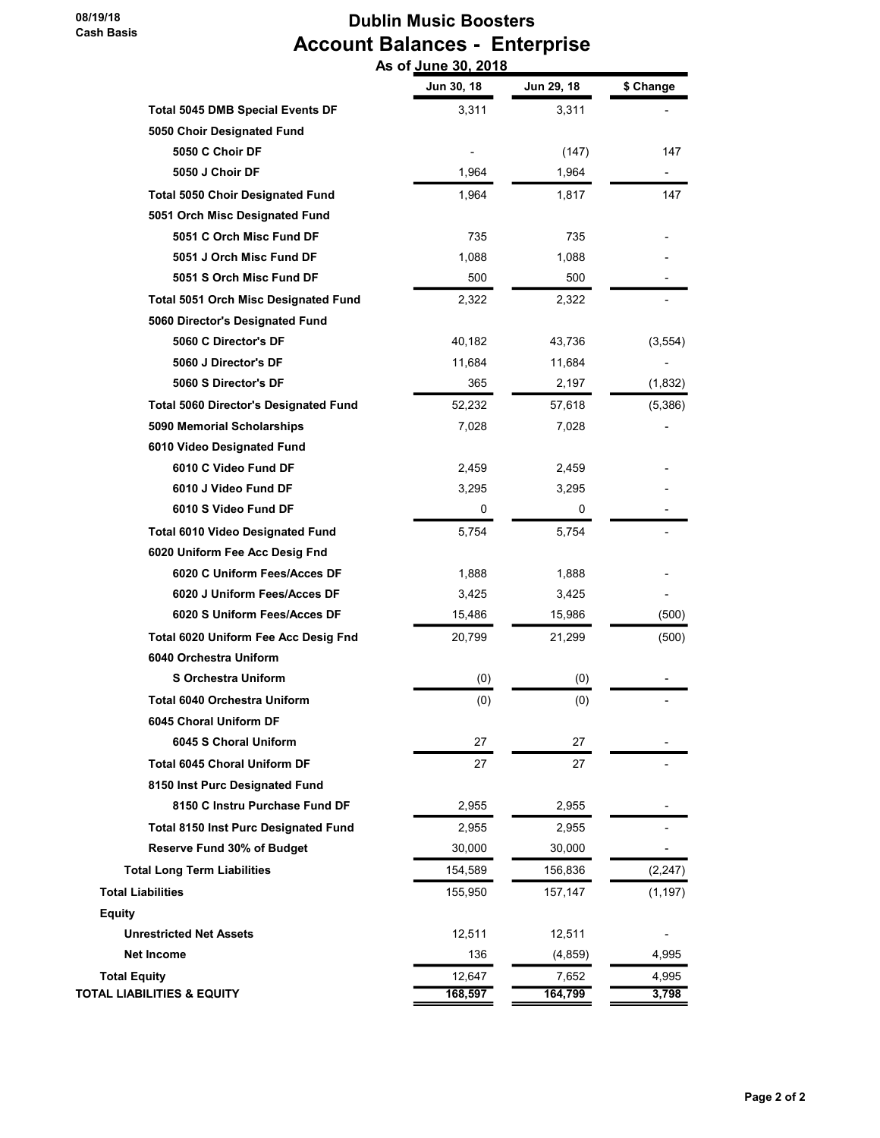08/19/18 Cash Basis

# Dublin Music Boosters Account Balances - Enterprise As of June 30, 2018

|                                              | Jun 30, 18 | Jun 29, 18 | \$ Change |
|----------------------------------------------|------------|------------|-----------|
| <b>Total 5045 DMB Special Events DF</b>      | 3,311      | 3,311      |           |
| 5050 Choir Designated Fund                   |            |            |           |
| 5050 C Choir DF                              |            | (147)      | 147       |
| 5050 J Choir DF                              | 1,964      | 1,964      |           |
| <b>Total 5050 Choir Designated Fund</b>      | 1,964      | 1,817      | 147       |
| 5051 Orch Misc Designated Fund               |            |            |           |
| 5051 C Orch Misc Fund DF                     | 735        | 735        |           |
| 5051 J Orch Misc Fund DF                     | 1,088      | 1,088      |           |
| 5051 S Orch Misc Fund DF                     | 500        | 500        |           |
| <b>Total 5051 Orch Misc Designated Fund</b>  | 2,322      | 2,322      |           |
| 5060 Director's Designated Fund              |            |            |           |
| 5060 C Director's DF                         | 40,182     | 43,736     | (3, 554)  |
| 5060 J Director's DF                         | 11,684     | 11,684     |           |
| 5060 S Director's DF                         | 365        | 2,197      | (1, 832)  |
| <b>Total 5060 Director's Designated Fund</b> | 52,232     | 57,618     | (5,386)   |
| 5090 Memorial Scholarships                   | 7,028      | 7,028      |           |
| 6010 Video Designated Fund                   |            |            |           |
| 6010 C Video Fund DF                         | 2,459      | 2,459      |           |
| 6010 J Video Fund DF                         | 3,295      | 3,295      |           |
| 6010 S Video Fund DF                         | 0          | 0          |           |
| Total 6010 Video Designated Fund             | 5,754      | 5,754      |           |
| 6020 Uniform Fee Acc Desig Fnd               |            |            |           |
| 6020 C Uniform Fees/Acces DF                 | 1,888      | 1,888      |           |
| 6020 J Uniform Fees/Acces DF                 | 3,425      | 3,425      |           |
| 6020 S Uniform Fees/Acces DF                 | 15,486     | 15,986     | (500)     |
| Total 6020 Uniform Fee Acc Desig Fnd         | 20,799     | 21,299     | (500)     |
| 6040 Orchestra Uniform                       |            |            |           |
| <b>S Orchestra Uniform</b>                   | (0)        | (0)        |           |
| <b>Total 6040 Orchestra Uniform</b>          | (0)        | (0)        |           |
| 6045 Choral Uniform DF                       |            |            |           |
| 6045 S Choral Uniform                        | 27         | 27         |           |
| <b>Total 6045 Choral Uniform DF</b>          | 27         | 27         |           |
| 8150 Inst Purc Designated Fund               |            |            |           |
| 8150 C Instru Purchase Fund DF               | 2,955      | 2,955      |           |
| Total 8150 Inst Purc Designated Fund         | 2,955      | 2,955      |           |
| Reserve Fund 30% of Budget                   | 30,000     | 30,000     |           |
| <b>Total Long Term Liabilities</b>           | 154,589    | 156,836    | (2, 247)  |
| <b>Total Liabilities</b>                     | 155,950    | 157,147    | (1, 197)  |
| <b>Equity</b>                                |            |            |           |
| <b>Unrestricted Net Assets</b>               | 12,511     | 12,511     |           |
| <b>Net Income</b>                            | 136        | (4, 859)   | 4,995     |
| <b>Total Equity</b>                          | 12,647     | 7,652      | 4,995     |
| <b>TOTAL LIABILITIES &amp; EQUITY</b>        | 168,597    | 164,799    | 3,798     |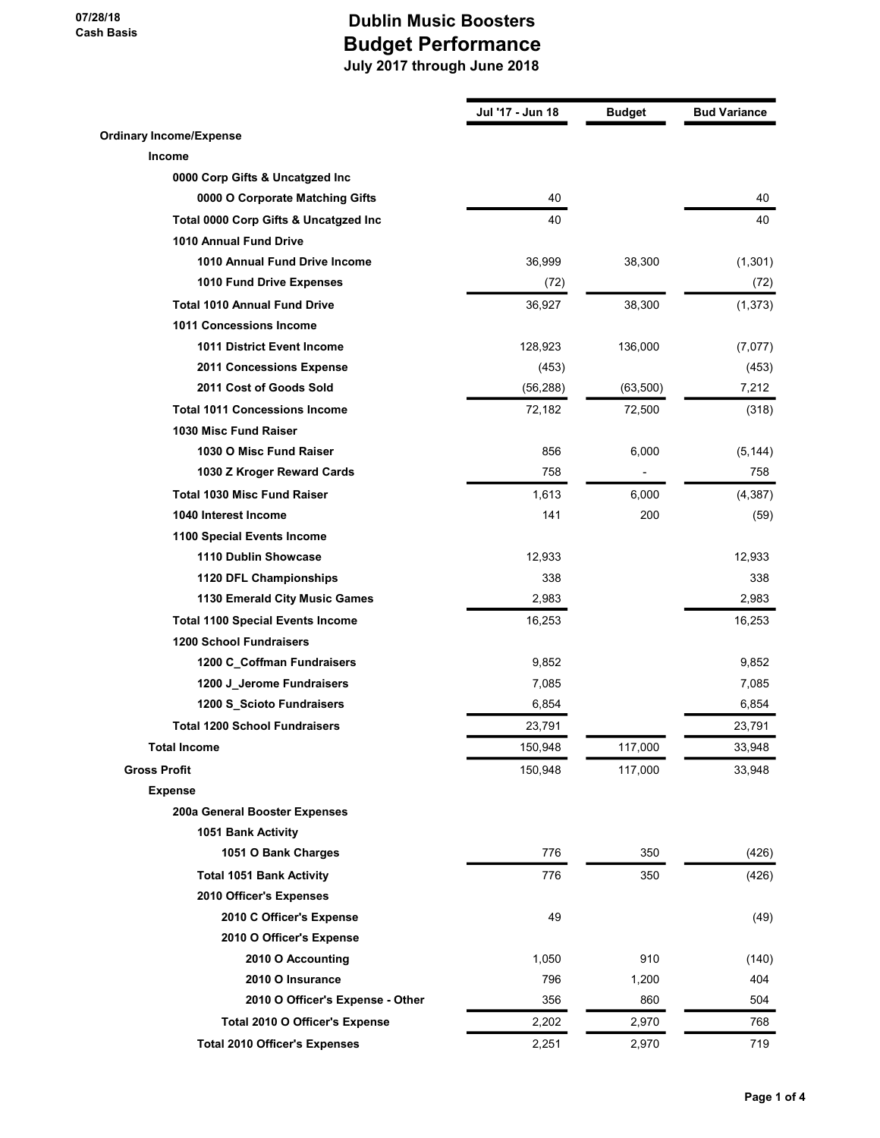07/28/18 Cash Basis

|                                         | Jul '17 - Jun 18 | <b>Budget</b> | <b>Bud Variance</b> |
|-----------------------------------------|------------------|---------------|---------------------|
| <b>Ordinary Income/Expense</b>          |                  |               |                     |
| <b>Income</b>                           |                  |               |                     |
| 0000 Corp Gifts & Uncatgzed Inc         |                  |               |                     |
| 0000 O Corporate Matching Gifts         | 40               |               | 40                  |
| Total 0000 Corp Gifts & Uncatgzed Inc   | 40               |               | 40                  |
| <b>1010 Annual Fund Drive</b>           |                  |               |                     |
| 1010 Annual Fund Drive Income           | 36,999           | 38,300        | (1,301)             |
| 1010 Fund Drive Expenses                | (72)             |               | (72)                |
| <b>Total 1010 Annual Fund Drive</b>     | 36,927           | 38,300        | (1, 373)            |
| <b>1011 Concessions Income</b>          |                  |               |                     |
| <b>1011 District Event Income</b>       | 128,923          | 136,000       | (7,077)             |
| 2011 Concessions Expense                | (453)            |               | (453)               |
| 2011 Cost of Goods Sold                 | (56, 288)        | (63,500)      | 7,212               |
| <b>Total 1011 Concessions Income</b>    | 72,182           | 72,500        | (318)               |
| 1030 Misc Fund Raiser                   |                  |               |                     |
| 1030 O Misc Fund Raiser                 | 856              | 6,000         | (5, 144)            |
| 1030 Z Kroger Reward Cards              | 758              |               | 758                 |
| <b>Total 1030 Misc Fund Raiser</b>      | 1,613            | 6,000         | (4, 387)            |
| 1040 Interest Income                    | 141              | 200           | (59)                |
| 1100 Special Events Income              |                  |               |                     |
| 1110 Dublin Showcase                    | 12,933           |               | 12,933              |
| 1120 DFL Championships                  | 338              |               | 338                 |
| 1130 Emerald City Music Games           | 2,983            |               | 2,983               |
| <b>Total 1100 Special Events Income</b> | 16,253           |               | 16,253              |
| <b>1200 School Fundraisers</b>          |                  |               |                     |
| 1200 C_Coffman Fundraisers              | 9,852            |               | 9,852               |
| 1200 J_Jerome Fundraisers               | 7,085            |               | 7,085               |
| 1200 S_Scioto Fundraisers               | 6,854            |               | 6,854               |
| <b>Total 1200 School Fundraisers</b>    | 23,791           |               | 23,791              |
| <b>Total Income</b>                     | 150,948          | 117,000       | 33,948              |
| <b>Gross Profit</b>                     | 150,948          | 117,000       | 33,948              |
| <b>Expense</b>                          |                  |               |                     |
| 200a General Booster Expenses           |                  |               |                     |
| 1051 Bank Activity                      |                  |               |                     |
| 1051 O Bank Charges                     | 776              | 350           | (426)               |
| <b>Total 1051 Bank Activity</b>         | 776              | 350           | (426)               |
| 2010 Officer's Expenses                 |                  |               |                     |
| 2010 C Officer's Expense                | 49               |               | (49)                |
| 2010 O Officer's Expense                |                  |               |                     |
| 2010 O Accounting                       | 1,050            | 910           | (140)               |
| 2010 O Insurance                        | 796              | 1,200         | 404                 |
| 2010 O Officer's Expense - Other        | 356              | 860           | 504                 |
| Total 2010 O Officer's Expense          | 2,202            | 2,970         | 768                 |
| <b>Total 2010 Officer's Expenses</b>    | 2,251            | 2,970         | 719                 |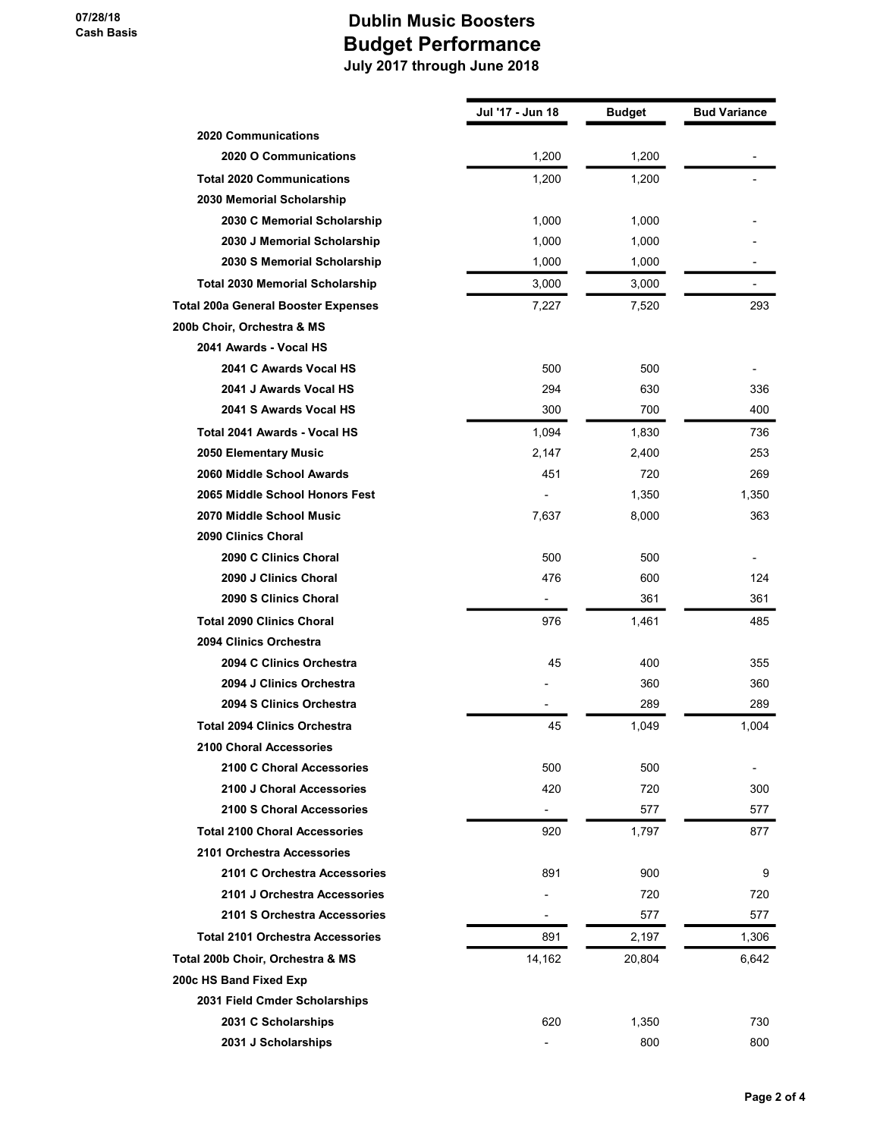|                                            | Jul '17 - Jun 18         | <b>Budget</b> | <b>Bud Variance</b> |
|--------------------------------------------|--------------------------|---------------|---------------------|
| <b>2020 Communications</b>                 |                          |               |                     |
| 2020 O Communications                      | 1,200                    | 1,200         |                     |
| <b>Total 2020 Communications</b>           | 1,200                    | 1,200         |                     |
| 2030 Memorial Scholarship                  |                          |               |                     |
| 2030 C Memorial Scholarship                | 1,000                    | 1,000         |                     |
| 2030 J Memorial Scholarship                | 1.000                    | 1,000         |                     |
| 2030 S Memorial Scholarship                | 1,000                    | 1,000         |                     |
| <b>Total 2030 Memorial Scholarship</b>     | 3,000                    | 3,000         |                     |
| <b>Total 200a General Booster Expenses</b> | 7,227                    | 7,520         | 293                 |
| 200b Choir, Orchestra & MS                 |                          |               |                     |
| 2041 Awards - Vocal HS                     |                          |               |                     |
| 2041 C Awards Vocal HS                     | 500                      | 500           |                     |
| 2041 J Awards Vocal HS                     | 294                      | 630           | 336                 |
| 2041 S Awards Vocal HS                     | 300                      | 700           | 400                 |
| Total 2041 Awards - Vocal HS               | 1.094                    | 1,830         | 736                 |
| 2050 Elementary Music                      | 2,147                    | 2,400         | 253                 |
| 2060 Middle School Awards                  | 451                      | 720           | 269                 |
| 2065 Middle School Honors Fest             |                          | 1,350         | 1,350               |
| 2070 Middle School Music                   | 7,637                    | 8,000         | 363                 |
| 2090 Clinics Choral                        |                          |               |                     |
| 2090 C Clinics Choral                      | 500                      | 500           |                     |
| 2090 J Clinics Choral                      | 476                      | 600           | 124                 |
| 2090 S Clinics Choral                      | $\overline{\phantom{a}}$ | 361           | 361                 |
| <b>Total 2090 Clinics Choral</b>           | 976                      | 1,461         | 485                 |
| 2094 Clinics Orchestra                     |                          |               |                     |
| 2094 C Clinics Orchestra                   | 45                       | 400           | 355                 |
| 2094 J Clinics Orchestra                   |                          | 360           | 360                 |
| 2094 S Clinics Orchestra                   |                          | 289           | 289                 |
| <b>Total 2094 Clinics Orchestra</b>        | 45                       | 1,049         | 1,004               |
| <b>2100 Choral Accessories</b>             |                          |               |                     |
| 2100 C Choral Accessories                  | 500                      | 500           |                     |
| 2100 J Choral Accessories                  | 420                      | 720           | 300                 |
| 2100 S Choral Accessories                  | $\overline{\phantom{a}}$ | 577           | 577                 |
| <b>Total 2100 Choral Accessories</b>       | 920                      | 1,797         | 877                 |
| 2101 Orchestra Accessories                 |                          |               |                     |
| 2101 C Orchestra Accessories               | 891                      | 900           | 9                   |
| 2101 J Orchestra Accessories               |                          | 720           | 720                 |
| 2101 S Orchestra Accessories               |                          | 577           | 577                 |
| <b>Total 2101 Orchestra Accessories</b>    | 891                      | 2,197         | 1,306               |
| Total 200b Choir, Orchestra & MS           | 14,162                   | 20,804        | 6,642               |
| 200c HS Band Fixed Exp                     |                          |               |                     |
| 2031 Field Cmder Scholarships              |                          |               |                     |
| 2031 C Scholarships                        | 620                      | 1,350         | 730                 |
| 2031 J Scholarships                        |                          | 800           | 800                 |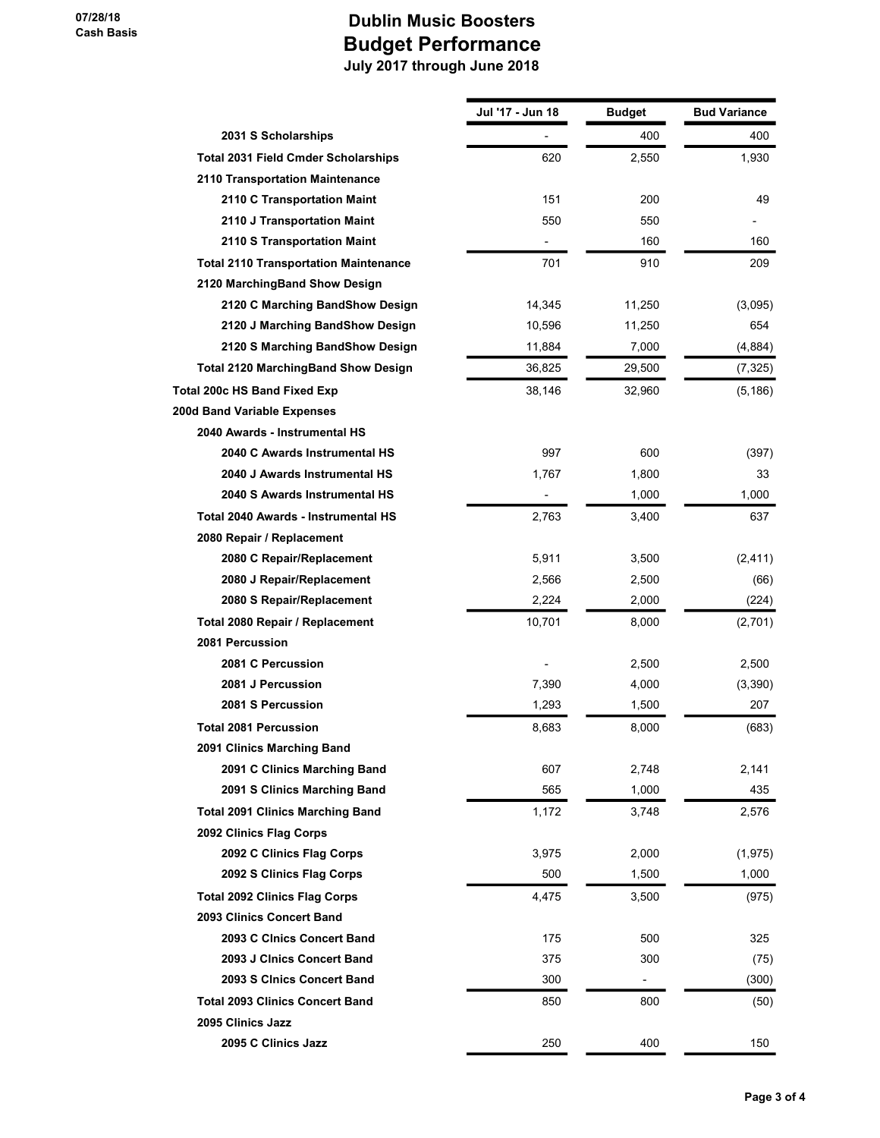|                                              | Jul '17 - Jun 18 | <b>Budget</b> | <b>Bud Variance</b> |
|----------------------------------------------|------------------|---------------|---------------------|
| 2031 S Scholarships                          |                  | 400           | 400                 |
| <b>Total 2031 Field Cmder Scholarships</b>   | 620              | 2,550         | 1,930               |
| 2110 Transportation Maintenance              |                  |               |                     |
| 2110 C Transportation Maint                  | 151              | 200           | 49                  |
| 2110 J Transportation Maint                  | 550              | 550           |                     |
| 2110 S Transportation Maint                  |                  | 160           | 160                 |
| <b>Total 2110 Transportation Maintenance</b> | 701              | 910           | 209                 |
| 2120 MarchingBand Show Design                |                  |               |                     |
| 2120 C Marching BandShow Design              | 14,345           | 11,250        | (3,095)             |
| 2120 J Marching BandShow Design              | 10,596           | 11,250        | 654                 |
| 2120 S Marching BandShow Design              | 11,884           | 7,000         | (4,884)             |
| <b>Total 2120 MarchingBand Show Design</b>   | 36,825           | 29,500        | (7, 325)            |
| Total 200c HS Band Fixed Exp                 | 38,146           | 32,960        | (5, 186)            |
| 200d Band Variable Expenses                  |                  |               |                     |
| 2040 Awards - Instrumental HS                |                  |               |                     |
| 2040 C Awards Instrumental HS                | 997              | 600           | (397)               |
| 2040 J Awards Instrumental HS                | 1,767            | 1,800         | 33                  |
| 2040 S Awards Instrumental HS                | $\frac{1}{2}$    | 1,000         | 1,000               |
| Total 2040 Awards - Instrumental HS          | 2,763            | 3,400         | 637                 |
| 2080 Repair / Replacement                    |                  |               |                     |
| 2080 C Repair/Replacement                    | 5,911            | 3,500         | (2, 411)            |
| 2080 J Repair/Replacement                    | 2,566            | 2,500         | (66)                |
| 2080 S Repair/Replacement                    | 2,224            | 2,000         | (224)               |
| Total 2080 Repair / Replacement              | 10,701           | 8,000         | (2,701)             |
| 2081 Percussion                              |                  |               |                     |
| 2081 C Percussion                            |                  | 2,500         | 2,500               |
| 2081 J Percussion                            | 7,390            | 4,000         | (3,390)             |
| 2081 S Percussion                            | 1,293            | 1,500         | 207                 |
| <b>Total 2081 Percussion</b>                 | 8,683            | 8,000         | (683)               |
| 2091 Clinics Marching Band                   |                  |               |                     |
| 2091 C Clinics Marching Band                 | 607              | 2,748         | 2,141               |
| 2091 S Clinics Marching Band                 | 565              | 1,000         | 435                 |
| <b>Total 2091 Clinics Marching Band</b>      | 1,172            | 3,748         | 2,576               |
| 2092 Clinics Flag Corps                      |                  |               |                     |
| 2092 C Clinics Flag Corps                    | 3,975            | 2,000         | (1, 975)            |
| 2092 S Clinics Flag Corps                    | 500              | 1,500         | 1,000               |
| <b>Total 2092 Clinics Flag Corps</b>         | 4,475            | 3,500         | (975)               |
| 2093 Clinics Concert Band                    |                  |               |                     |
| 2093 C Clnics Concert Band                   | 175              | 500           | 325                 |
| 2093 J Cinics Concert Band                   | 375              | 300           | (75)                |
| 2093 S Cinics Concert Band                   | 300              | -             | (300)               |
| <b>Total 2093 Clinics Concert Band</b>       | 850              | 800           | (50)                |
| 2095 Clinics Jazz                            |                  |               |                     |
| 2095 C Clinics Jazz                          | 250              | 400           | 150                 |